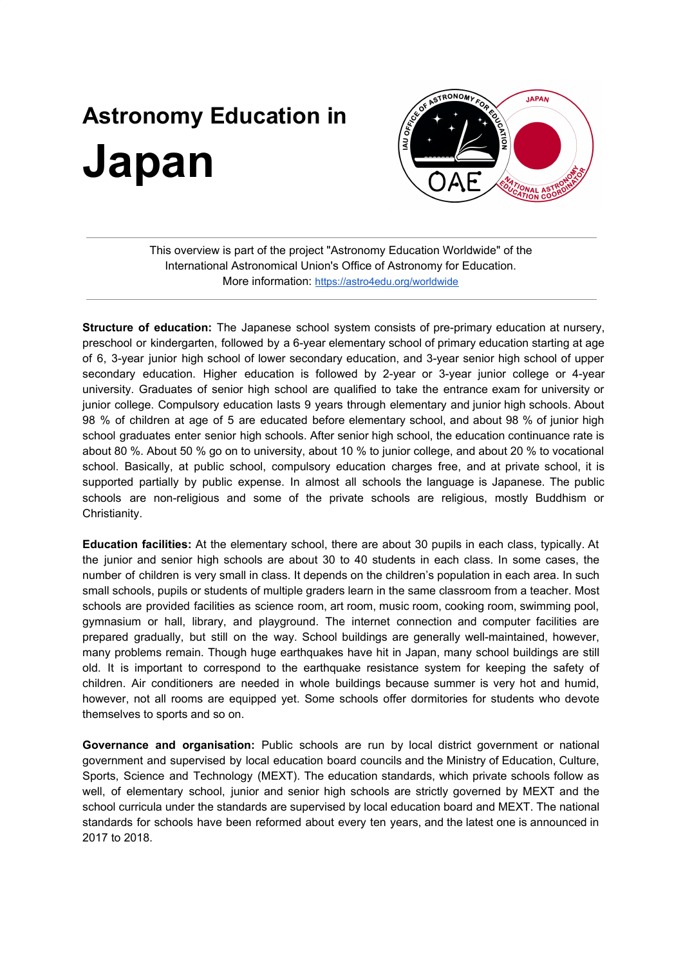## **Astronomy Education in Japan**



This overview is part of the project "Astronomy Education Worldwide" of the International Astronomical Union's Office of Astronomy for Education. More information: <https://astro4edu.org/worldwide>

**Structure of education:** The Japanese school system consists of pre-primary education at nursery, preschool or kindergarten, followed by a 6-year elementary school of primary education starting at age of 6, 3-year junior high school of lower secondary education, and 3-year senior high school of upper secondary education. Higher education is followed by 2-year or 3-year junior college or 4-year university. Graduates of senior high school are qualified to take the entrance exam for university or junior college. Compulsory education lasts 9 years through elementary and junior high schools. About 98 % of children at age of 5 are educated before elementary school, and about 98 % of junior high school graduates enter senior high schools. After senior high school, the education continuance rate is about 80 %. About 50 % go on to university, about 10 % to junior college, and about 20 % to vocational school. Basically, at public school, compulsory education charges free, and at private school, it is supported partially by public expense. In almost all schools the language is Japanese. The public schools are non-religious and some of the private schools are religious, mostly Buddhism or Christianity.

**Education facilities:** At the elementary school, there are about 30 pupils in each class, typically. At the junior and senior high schools are about 30 to 40 students in each class. In some cases, the number of children is very small in class. It depends on the children's population in each area. In such small schools, pupils or students of multiple graders learn in the same classroom from a teacher. Most schools are provided facilities as science room, art room, music room, cooking room, swimming pool, gymnasium or hall, library, and playground. The internet connection and computer facilities are prepared gradually, but still on the way. School buildings are generally well-maintained, however, many problems remain. Though huge earthquakes have hit in Japan, many school buildings are still old. It is important to correspond to the earthquake resistance system for keeping the safety of children. Air conditioners are needed in whole buildings because summer is very hot and humid, however, not all rooms are equipped yet. Some schools offer dormitories for students who devote themselves to sports and so on.

**Governance and organisation:** Public schools are run by local district government or national government and supervised by local education board councils and the Ministry of Education, Culture, Sports, Science and Technology (MEXT). The education standards, which private schools follow as well, of elementary school, junior and senior high schools are strictly governed by MEXT and the school curricula under the standards are supervised by local education board and MEXT. The national standards for schools have been reformed about every ten years, and the latest one is announced in 2017 to 2018.